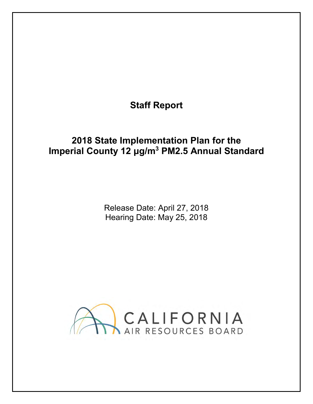# **Staff Report**

## **2018 State Implementation Plan for the Imperial County 12 μg/m3 PM2.5 Annual Standard**

Release Date: April 27, 2018 Hearing Date: May 25, 2018

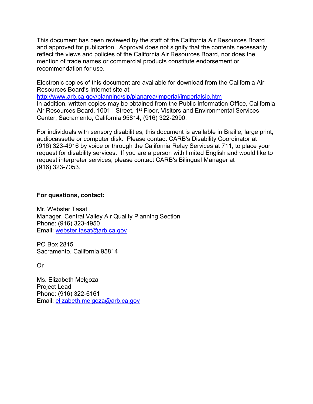and approved for publication. Approval does not signify that the contents necessarily This document has been reviewed by the staff of the California Air Resources Board reflect the views and policies of the California Air Resources Board, nor does the mention of trade names or commercial products constitute endorsement or recommendation for use.

 Electronic copies of this document are available for download from the California Air Resources Board's Internet site at:

<http://www.arb.ca.gov/planning/sip/planarea/imperial/imperialsip.htm>

In addition, written copies may be obtained from the Public Information Office, California Air Resources Board, 1001 I Street, 1<sup>st</sup> Floor, Visitors and Environmental Services Center, Sacramento, California 95814, (916) 322-2990.

For individuals with sensory disabilities, this document is available in Braille, large print, audiocassette or computer disk. Please contact CARB's Disability Coordinator at (916) 323-4916 by voice or through the California Relay Services at 711, to place your request for disability services. If you are a person with limited English and would like to request interpreter services, please contact CARB's Bilingual Manager at (916) 323-7053.

#### **For questions, contact:**

 Mr. Webster Tasat Manager, Central Valley Air Quality Planning Section Phone: (916) 323-4950

Email: <u>webster.tasat@arb.ca.gov</u><br>PO Box 2815 Sacramento, California 95814

Or

Ms. Elizabeth Melgoza Project Lead Phone: (916) 322-6161 Email: [elizabeth.melgoza@arb.ca.gov](mailto:elizabeth.melgoza@arb.ca.gov)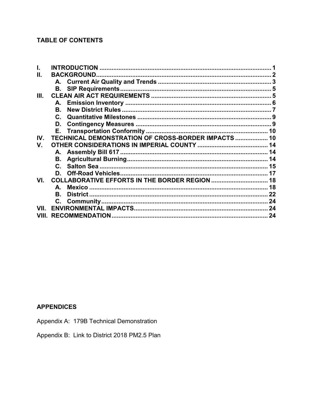### **TABLE OF CONTENTS**

|       | <b>INTRODUCTION</b>                                 |  |  |
|-------|-----------------------------------------------------|--|--|
| Ш.    | <b>BACKGROUND</b>                                   |  |  |
|       |                                                     |  |  |
|       | В.                                                  |  |  |
| Ш.    |                                                     |  |  |
|       | А.                                                  |  |  |
|       | В.                                                  |  |  |
|       |                                                     |  |  |
|       | D.                                                  |  |  |
|       |                                                     |  |  |
| IV.   | TECHNICAL DEMONSTRATION OF CROSS-BORDER IMPACTS  10 |  |  |
| V.    |                                                     |  |  |
|       |                                                     |  |  |
|       | В.                                                  |  |  |
|       | $\mathbf{C}$                                        |  |  |
|       | D.                                                  |  |  |
| VI.   |                                                     |  |  |
|       | A.                                                  |  |  |
|       | B.                                                  |  |  |
|       |                                                     |  |  |
| VII   |                                                     |  |  |
| VIII. |                                                     |  |  |

#### **APPENDICES**

- Appendix A: 179B Technical Demonstration
- Appendix B: Link to District 2018 PM2.5 Plan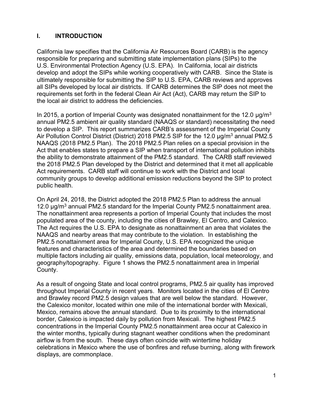### <span id="page-3-0"></span>**I. INTRODUCTION**

 California law specifies that the California Air Resources Board (CARB) is the agency responsible for preparing and submitting state implementation plans (SIPs) to the requirements set forth in the federal Clean Air Act (Act), CARB may return the SIP to U.S. Environmental Protection Agency (U.S. EPA). In California, local air districts develop and adopt the SIPs while working cooperatively with CARB. Since the State is ultimately responsible for submitting the SIP to U.S. EPA, CARB reviews and approves all SIPs developed by local air districts. If CARB determines the SIP does not meet the the local air district to address the deficiencies.

 to develop a SIP. This report summarizes CARB's assessment of the Imperial County Air Pollution Control District (District) 2018 PM2.5 SIP for the 12.0  $\mu$ g/m $^3$  annual PM2.5 the ability to demonstrate attainment of the PM2.5 standard. The CARB staff reviewed Act requirements. CARB staff will continue to work with the District and local In 2015, a portion of Imperial County was designated nonattainment for the 12.0  $\mu$ g/m<sup>3</sup> annual PM2.5 ambient air quality standard (NAAQS or standard) necessitating the need NAAQS (2018 PM2.5 Plan). The 2018 PM2.5 Plan relies on a special provision in the Act that enables states to prepare a SIP when transport of international pollution inhibits the 2018 PM2.5 Plan developed by the District and determined that it met all applicable community groups to develop additional emission reductions beyond the SIP to protect public health.

 On April 24, 2018, the District adopted the 2018 PM2.5 Plan to address the annual populated area of the county, including the cities of Brawley, El Centro, and Calexico. NAAQS and nearby areas that may contribute to the violation. In establishing the PM2.5 nonattainment area for Imperial County, U.S. EPA recognized the unique features and characteristics of the area and determined the boundaries based on 12.0  $\mu$ g/m<sup>3</sup> annual PM2.5 standard for the Imperial County PM2.5 nonattainment area. The nonattainment area represents a portion of Imperial County that includes the most The Act requires the U.S. EPA to designate as nonattainment an area that violates the multiple factors including air quality, emissions data, population, local meteorology, and geography/topography. Figure 1 shows the PM2.5 nonattainment area in Imperial County.

 As a result of ongoing State and local control programs, PM2.5 air quality has improved and Brawley record PM2.5 design values that are well below the standard. However, the Calexico monitor, located within one mile of the international border with Mexicali, throughout Imperial County in recent years. Monitors located in the cities of El Centro Mexico, remains above the annual standard. Due to its proximity to the international border, Calexico is impacted daily by pollution from Mexicali. The highest PM2.5 concentrations in the Imperial County PM2.5 nonattainment area occur at Calexico in the winter months, typically during stagnant weather conditions when the predominant airflow is from the south. These days often coincide with wintertime holiday celebrations in Mexico where the use of bonfires and refuse burning, along with firework displays, are commonplace.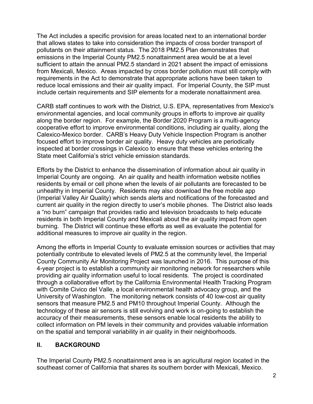from Mexicali, Mexico. Areas impacted by cross border pollution must still comply with requirements in the Act to demonstrate that appropriate actions have been taken to reduce local emissions and their air quality impact. For Imperial County, the SIP must include certain requirements and SIP elements for a moderate nonattainment area. The Act includes a specific provision for areas located next to an international border that allows states to take into consideration the impacts of cross border transport of pollutants on their attainment status. The 2018 PM2.5 Plan demonstrates that emissions in the Imperial County PM2.5 nonattainment area would be at a level sufficient to attain the annual PM2.5 standard in 2021 absent the impact of emissions

CARB staff continues to work with the District, U.S. EPA, representatives from Mexico's environmental agencies, and local community groups in efforts to improve air quality along the border region. For example, the Border 2020 Program is a multi-agency cooperative effort to improve environmental conditions, including air quality, along the Calexico-Mexico border. CARB's Heavy Duty Vehicle Inspection Program is another focused effort to improve border air quality. Heavy duty vehicles are periodically inspected at border crossings in Calexico to ensure that these vehicles entering the State meet California's strict vehicle emission standards.

 residents by email or cell phone when the levels of air pollutants are forecasted to be (Imperial Valley Air Quality) which sends alerts and notifications of the forecasted and current air quality in the region directly to user's mobile phones. The District also leads burning. The District will continue these efforts as well as evaluate the potential for Efforts by the District to enhance the dissemination of information about air quality in Imperial County are ongoing. An air quality and health information website notifies unhealthy in Imperial County. Residents may also download the free mobile app a "no burn" campaign that provides radio and television broadcasts to help educate residents in both Imperial County and Mexicali about the air quality impact from open additional measures to improve air quality in the region.

 Among the efforts in Imperial County to evaluate emission sources or activities that may providing air quality information useful to local residents. The project is coordinated sensors that measure PM2.5 and PM10 throughout Imperial County. Although the collect information on PM levels in their community and provides valuable information potentially contribute to elevated levels of PM2.5 at the community level, the Imperial County Community Air Monitoring Project was launched in 2016. This purpose of this 4-year project is to establish a community air monitoring network for researchers while through a collaborative effort by the California Environmental Health Tracking Program with Comite Civico del Valle, a local environmental health advocacy group, and the University of Washington. The monitoring network consists of 40 low-cost air quality technology of these air sensors is still evolving and work is on-going to establish the accuracy of their measurements, these sensors enable local residents the ability to on the spatial and temporal variability in air quality in their neighborhoods.

#### <span id="page-4-0"></span>**II. BACKGROUND**

The Imperial County PM2.5 nonattainment area is an agricultural region located in the southeast corner of California that shares its southern border with Mexicali, Mexico.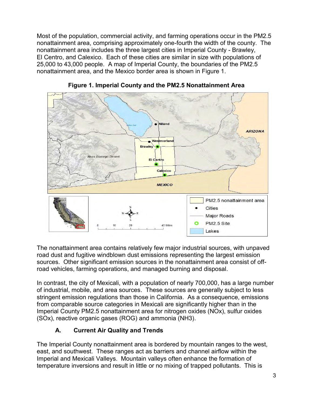Most of the population, commercial activity, and farming operations occur in the PM2.5 nonattainment area, comprising approximately one-fourth the width of the county. The El Centro, and Calexico. Each of these cities are similar in size with populations of 25,000 to 43,000 people. A map of Imperial County, the boundaries of the PM2.5 nonattainment area includes the three largest cities in Imperial County - Brawley, nonattainment area, and the Mexico border area is shown in Figure 1.



**Figure 1. Imperial County and the PM2.5 Nonattainment Area** 

The nonattainment area contains relatively few major industrial sources, with unpaved road dust and fugitive windblown dust emissions representing the largest emission sources. Other significant emission sources in the nonattainment area consist of offroad vehicles, farming operations, and managed burning and disposal.

In contrast, the city of Mexicali, with a population of nearly 700,000, has a large number of industrial, mobile, and area sources. These sources are generally subject to less stringent emission regulations than those in California. As a consequence, emissions from comparable source categories in Mexicali are significantly higher than in the Imperial County PM2.5 nonattainment area for nitrogen oxides (NOx), sulfur oxides (SOx), reactive organic gases (ROG) and ammonia (NH3).

## **A. Current Air Quality and Trends**

<span id="page-5-0"></span> east, and southwest. These ranges act as barriers and channel airflow within the Imperial and Mexicali Valleys. Mountain valleys often enhance the formation of The Imperial County nonattainment area is bordered by mountain ranges to the west, temperature inversions and result in little or no mixing of trapped pollutants. This is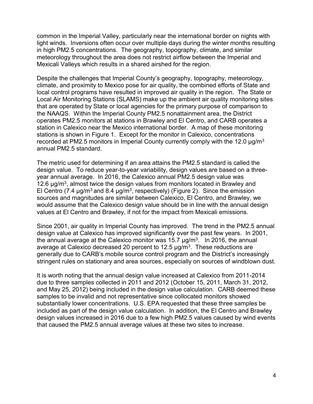common in the Imperial Valley, particularly near the international border on nights with light winds. Inversions often occur over multiple days during the winter months resulting in high PM2.5 concentrations. The geography, topography, climate, and similar meteorology throughout the area does not restrict airflow between the Imperial and Mexicali Valleys which results in a shared airshed for the region.

 climate, and proximity to Mexico pose for air quality, the combined efforts of State and Local Air Monitoring Stations (SLAMS) make up the ambient air quality monitoring sites that are operated by State or local agencies for the primary purpose of comparison to station in Calexico near the Mexico international border. A map of these monitoring stations is shown in Figure 1. Except for the monitor in Calexico, concentrations recorded at PM2.5 monitors in Imperial County currently comply with the 12.0 μg/m $^3$ Despite the challenges that Imperial County's geography, topography, meteorology, local control programs have resulted in improved air quality in the region. The State or the NAAQS. Within the Imperial County PM2.5 nonattainment area, the District operates PM2.5 monitors at stations in Brawley and El Centro, and CARB operates a annual PM2.5 standard.

 design value. To reduce year-to-year variability, design values are based on a three-The metric used for determining if an area attains the PM2.5 standard is called the year annual average. In 2016, the Calexico annual PM2.5 design value was 12.6  $\mu$ g/m<sup>3</sup>, almost twice the design values from monitors located in Brawley and El Centro (7.4  $\mu$ g/m<sup>3</sup> and 8.4  $\mu$ g/m<sup>3</sup>, respectively) (Figure 2). Since the emission sources and magnitudes are similar between Calexico, El Centro, and Brawley, we would assume that the Calexico design value should be in line with the annual design values at El Centro and Brawley, if not for the impact from Mexicali emissions.

average at Calexico decreased 20 percent to 12.5  $\mu$ g/m $^3$ . These reductions are Since 2001, air quality in Imperial County has improved. The trend in the PM2.5 annual design value at Calexico has improved significantly over the past few years. In 2001, the annual average at the Calexico monitor was 15.7  $\mu$ g/m<sup>3</sup>. In 2016, the annual generally due to CARB's mobile source control program and the District's increasingly stringent rules on stationary and area sources, especially on sources of windblown dust.

 substantially lower concentrations. U.S. EPA requested that these three samples be design values increased in 2016 due to a few high PM2.5 values caused by wind events that caused the PM2.5 annual average values at these two sites to increase. It is worth noting that the annual design value increased at Calexico from 2011-2014 due to three samples collected in 2011 and 2012 (October 15, 2011, March 31, 2012, and May 25, 2012) being included in the design value calculation. CARB deemed these samples to be invalid and not representative since collocated monitors showed included as part of the design value calculation. In addition, the El Centro and Brawley that caused the PM2.5 annual average values at these two sites to increase.<br> $4$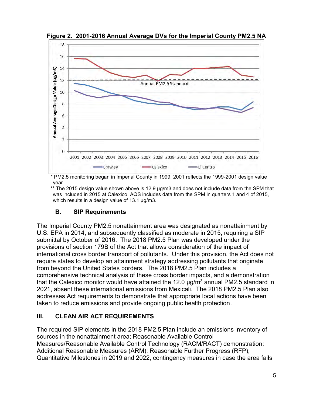

 **Figure 2. 2001-2016 Annual Average DVs for the Imperial County PM2.5 NA** 

 \* PM2.5 monitoring began in Imperial County in 1999; 2001 reflects the 1999-2001 design value year.

 \*\* The 2015 design value shown above is 12.9 µg/m3 and does not include data from the SPM that which results in a design value of 13.1 µg/m3. was included in 2015 at Calexico. AQS includes data from the SPM in quarters 1 and 4 of 2015,

### **B. SIP Requirements**

<span id="page-7-0"></span> provisions of section 179B of the Act that allows consideration of the impact of international cross border transport of pollutants. Under this provision, the Act does not from beyond the United States borders. The 2018 PM2.5 Plan includes a The Imperial County PM2.5 nonattainment area was designated as nonattainment by U.S. EPA in 2014, and subsequently classified as moderate in 2015, requiring a SIP submittal by October of 2016. The 2018 PM2.5 Plan was developed under the require states to develop an attainment strategy addressing pollutants that originate comprehensive technical analysis of these cross border impacts, and a demonstration that the Calexico monitor would have attained the 12.0  $\mu$ g/m<sup>3</sup> annual PM2.5 standard in 2021, absent these international emissions from Mexicali. The 2018 PM2.5 Plan also addresses Act requirements to demonstrate that appropriate local actions have been taken to reduce emissions and provide ongoing public health protection.

### <span id="page-7-1"></span>**III. CLEAN AIR ACT REQUIREMENTS**

 Quantitative Milestones in 2019 and 2022, contingency measures in case the area fails The required SIP elements in the 2018 PM2.5 Plan include an emissions inventory of sources in the nonattainment area; Reasonable Available Control Measures/Reasonable Available Control Technology (RACM/RACT) demonstration; Additional Reasonable Measures (ARM); Reasonable Further Progress (RFP);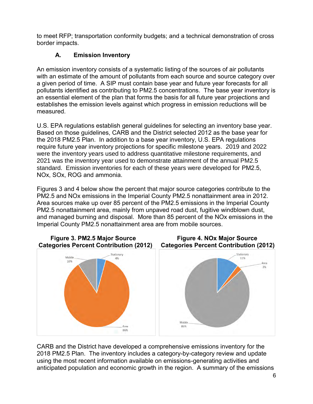<span id="page-8-0"></span> border impacts. to meet RFP; transportation conformity budgets; and a technical demonstration of cross

## **A. Emission Inventory**

An emission inventory consists of a systematic listing of the sources of air pollutants with an estimate of the amount of pollutants from each source and source category over a given period of time. A SIP must contain base year and future year forecasts for all pollutants identified as contributing to PM2.5 concentrations. The base year inventory is an essential element of the plan that forms the basis for all future year projections and establishes the emission levels against which progress in emission reductions will be measured.

 require future year inventory projections for specific milestone years. 2019 and 2022 were the inventory years used to address quantitative milestone requirements, and U.S. EPA regulations establish general guidelines for selecting an inventory base year. Based on those guidelines, CARB and the District selected 2012 as the base year for the 2018 PM2.5 Plan. In addition to a base year inventory, U.S. EPA regulations 2021 was the inventory year used to demonstrate attainment of the annual PM2.5 standard. Emission inventories for each of these years were developed for PM2.5, NOx, SOx, ROG and ammonia.

 PM2.5 and NOx emissions in the Imperial County PM2.5 nonattainment area in 2012. Area sources make up over 85 percent of the PM2.5 emissions in the Imperial County and managed burning and disposal. More than 85 percent of the NOx emissions in the Figures 3 and 4 below show the percent that major source categories contribute to the PM2.5 nonattainment area, mainly from unpaved road dust, fugitive windblown dust, Imperial County PM2.5 nonattainment area are from mobile sources.



 anticipated population and economic growth in the region. A summary of the emissions CARB and the District have developed a comprehensive emissions inventory for the 2018 PM2.5 Plan. The inventory includes a category-by-category review and update using the most recent information available on emissions-generating activities and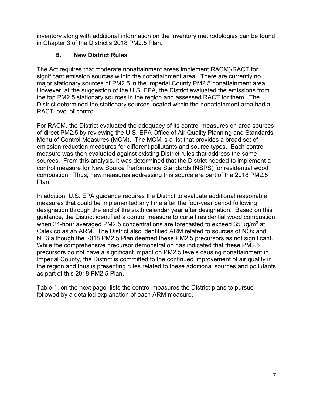<span id="page-9-0"></span> inventory along with additional information on the inventory methodologies can be found in Chapter 3 of the District's 2018 PM2.5 Plan.

## **B. New District Rules**

 significant emission sources within the nonattainment area. There are currently no the top PM2.5 stationary sources in the region and assessed RACT for them. The District determined the stationary sources located within the nonattainment area had a The Act requires that moderate nonattainment areas implement RACM)/RACT for major stationary sources of PM2.5 in the Imperial County PM2.5 nonattainment area. However, at the suggestion of the U.S. EPA, the District evaluated the emissions from RACT level of control.

 sources. From this analysis, it was determined that the District needed to implement a combustion. Thus, new measures addressing this source are part of the 2018 PM2.5 For RACM, the District evaluated the adequacy of its control measures on area sources of direct PM2.5 by reviewing the U.S. EPA Office of Air Quality Planning and Standards' Menu of Control Measures (MCM). The MCM is a list that provides a broad set of emission reduction measures for different pollutants and source types. Each control measure was then evaluated against existing District rules that address the same control measure for New Source Performance Standards (NSPS) for residential wood Plan.

 designation through the end of the sixth calendar year after designation. Based on this NH3 although the 2018 PM2.5 Plan deemed these PM2.5 precursors as not significant. the region and thus is presenting rules related to these additional sources and pollutants In addition, U.S. EPA guidance requires the District to evaluate additional reasonable measures that could be implemented any time after the four-year period following guidance, the District identified a control measure to curtail residential wood combustion when 24-hour averaged PM2.5 concentrations are forecasted to exceed 35  $\mu$ g/m<sup>3</sup> at Calexico as an ARM. The District also identified ARM related to sources of NOx and While the comprehensive precursor demonstration has indicated that these PM2.5 precursors do not have a significant impact on PM2.5 levels causing nonattainment in Imperial County, the District is committed to the continued improvement of air quality in as part of this 2018 PM2.5 Plan.

 followed by a detailed explanation of each ARM measure. Table 1, on the next page, lists the control measures the District plans to pursue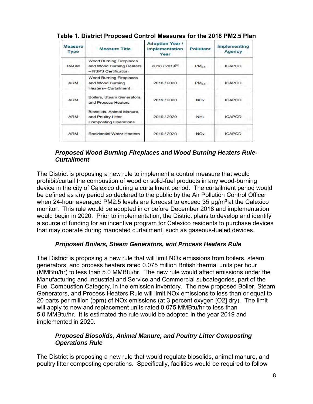| <b>Measure</b><br><b>Type</b> | <b>Measure Title</b>                                                               | <b>Adoption Year /</b><br><b>Implementation</b><br>Year | <b>Pollutant</b>  | <b>Implementing</b><br><b>Agency</b> |
|-------------------------------|------------------------------------------------------------------------------------|---------------------------------------------------------|-------------------|--------------------------------------|
| <b>RACM</b>                   | <b>Wood Burning Fireplaces</b><br>and Wood Burning Heaters<br>- NSPS Certification | 2018 / 2019[b]                                          | PM <sub>2.5</sub> | <b>ICAPCD</b>                        |
| <b>ARM</b>                    | <b>Wood Burning Fireplaces</b><br>and Wood Burning<br><b>Heaters-Curtailment</b>   | 2018 / 2020                                             | PM <sub>2.5</sub> | <b>ICAPCD</b>                        |
| <b>ARM</b>                    | Boilers, Steam Generators,<br>and Process Heaters                                  | 2019 / 2020                                             | <b>NOx</b>        | <b>ICAPCD</b>                        |
| <b>ARM</b>                    | Biosolids, Animal Manure,<br>and Poultry Litter<br><b>Composting Operations</b>    | 2019 / 2020                                             | NH <sub>3</sub>   | <b>ICAPCD</b>                        |
| <b>ARM</b>                    | <b>Residential Water Heaters</b>                                                   | 2019 / 2020                                             | NO <sub>x</sub>   | <b>ICAPCD</b>                        |

| Table 1. District Proposed Control Measures for the 2018 PM2.5 Plan |  |  |
|---------------------------------------------------------------------|--|--|
|---------------------------------------------------------------------|--|--|

#### *Proposed Wood Burning Fireplaces and Wood Burning Heaters Rule-Curtailment*

 device in the city of Calexico during a curtailment period. The curtailment period would monitor. This rule would be adopted in or before December 2018 and implementation a source of funding for an incentive program for Calexico residents to purchase devices that may operate during mandated curtailment, such as gaseous-fueled devices. The District is proposing a new rule to implement a control measure that would prohibit/curtail the combustion of wood or solid-fuel products in any wood-burning be defined as any period so declared to the public by the Air Pollution Control Officer when 24-hour averaged PM2.5 levels are forecast to exceed 35  $\mu$ g/m<sup>3</sup> at the Calexico would begin in 2020. Prior to implementation, the District plans to develop and identify

#### *Proposed Boilers, Steam Generators, and Process Heaters Rule*

 Generators, and Process Heaters Rule will limit NOx emissions to less than or equal to 5.0 MMBtu/hr. It is estimated the rule would be adopted in the year 2019 and The District is proposing a new rule that will limit NOx emissions from boilers, steam generators, and process heaters rated 0.075 million British thermal units per hour (MMBtu/hr) to less than 5.0 MMBtu/hr. The new rule would affect emissions under the Manufacturing and Industrial and Service and Commercial subcategories, part of the Fuel Combustion Category, in the emission inventory. The new proposed Boiler, Steam 20 parts per million (ppm) of NOx emissions (at 3 percent oxygen [O2] dry). The limit will apply to new and replacement units rated 0.075 MMBtu/hr to less than implemented in 2020.

#### *Proposed Biosolids, Animal Manure, and Poultry Litter Composting Operations Rule*

 poultry litter composting operations. Specifically, facilities would be required to follow The District is proposing a new rule that would regulate biosolids, animal manure, and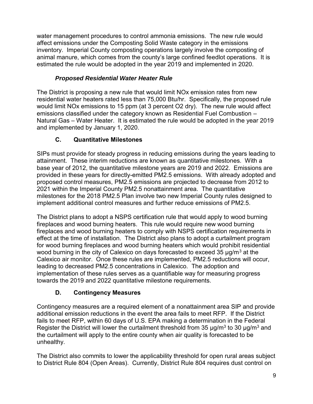affect emissions under the Composting Solid Waste category in the emissions estimated the rule would be adopted in the year 2019 and implemented in 2020. water management procedures to control ammonia emissions. The new rule would inventory. Imperial County composting operations largely involve the composting of animal manure, which comes from the county's large confined feedlot operations. It is

## *Proposed Residential Water Heater Rule*

 The District is proposing a new rule that would limit NOx emission rates from new Natural Gas – Water Heater. It is estimated the rule would be adopted in the year 2019 residential water heaters rated less than 75,000 Btu/hr. Specifically, the proposed rule would limit NOx emissions to 15 ppm (at 3 percent O2 dry). The new rule would affect emissions classified under the category known as Residential Fuel Combustion – and implemented by January 1, 2020.

## **C. Quantitative Milestones**

<span id="page-11-0"></span> attainment. These interim reductions are known as quantitative milestones. With a base year of 2012, the quantitative milestone years are 2019 and 2022. Emissions are provided in these years for directly-emitted PM2.5 emissions. With already adopted and proposed control measures, PM2.5 emissions are projected to decrease from 2012 to SIPs must provide for steady progress in reducing emissions during the years leading to 2021 within the Imperial County PM2.5 nonattainment area. The quantitative milestones for the 2018 PM2.5 Plan involve two new Imperial County rules designed to implement additional control measures and further reduce emissions of PM2.5.

 The District plans to adopt a NSPS certification rule that would apply to wood burning for wood burning fireplaces and wood burning heaters which would prohibit residential leading to decreased PM2.5 concentrations in Calexico. The adoption and towards the 2019 and 2022 quantitative milestone requirements. fireplaces and wood burning heaters. This rule would require new wood burning fireplaces and wood burning heaters to comply with NSPS certification requirements in effect at the time of installation. The District also plans to adopt a curtailment program wood burning in the city of Calexico on days forecasted to exceed 35  $\mu$ g/m<sup>3</sup> at the Calexico air monitor. Once these rules are implemented, PM2.5 reductions will occur, implementation of these rules serves as a quantifiable way for measuring progress

### **D. Contingency Measures**

<span id="page-11-1"></span> Contingency measures are a required element of a nonattainment area SIP and provide additional emission reductions in the event the area fails to meet RFP. If the District fails to meet RFP, within 60 days of U.S. EPA making a determination in the Federal Register the District will lower the curtailment threshold from 35  $\mu$ g/m $^3$  to 30  $\mu$ g/m $^3$  and the curtailment will apply to the entire county when air quality is forecasted to be unhealthy.

The District also commits to lower the applicability threshold for open rural areas subject to District Rule 804 (Open Areas). Currently, District Rule 804 requires dust control on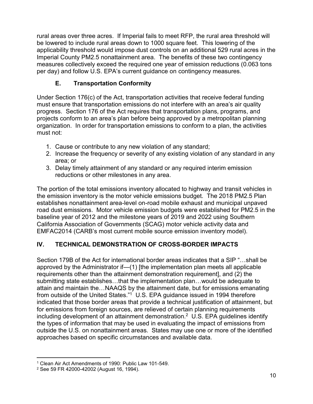rural areas over three acres. If Imperial fails to meet RFP, the rural area threshold will be lowered to include rural areas down to 1000 square feet. This lowering of the applicability threshold would impose dust controls on an additional 529 rural acres in the Imperial County PM2.5 nonattainment area. The benefits of these two contingency measures collectively exceed the required one year of emission reductions (0.063 tons per day) and follow U.S. EPA's current guidance on contingency measures.

## **E. Transportation Conformity**

<span id="page-12-0"></span> progress. Section 176 of the Act requires that transportation plans, programs, and organization. In order for transportation emissions to conform to a plan, the activities Under Section 176(c) of the Act, transportation activities that receive federal funding must ensure that transportation emissions do not interfere with an area's air quality projects conform to an area's plan before being approved by a metropolitan planning must not:

- 1. Cause or contribute to any new violation of any standard;
- 2. Increase the frequency or severity of any existing violation of any standard in any area; or
- reductions or other milestones in any area. 3. Delay timely attainment of any standard or any required interim emission

 The portion of the total emissions inventory allocated to highway and transit vehicles in the emission inventory is the motor vehicle emissions budget. The 2018 PM2.5 Plan road dust emissions. Motor vehicle emission budgets were established for PM2.5 in the baseline year of 2012 and the milestone years of 2019 and 2022 using Southern EMFAC2014 (CARB's most current mobile source emission inventory model). establishes nonattainment area-level on-road mobile exhaust and municipal unpaved California Association of Governments (SCAG) motor vehicle activity data and

### <span id="page-12-1"></span>**IV. TECHNICAL DEMONSTRATION OF CROSS-BORDER IMPACTS**

 Section 179B of the Act for international border areas indicates that a SIP "…shall be from outside of the United States."1 U.S. EPA guidance issued in 1994 therefore including development of an attainment demonstration. $^2$  U.S. EPA guidelines identify the types of information that may be used in evaluating the impact of emissions from approaches based on specific circumstances and available data. approved by the Administrator if—(1) [the implementation plan meets all applicable requirements other than the attainment demonstration requirement], and (2) the submitting state establishes…that the implementation plan…would be adequate to attain and maintain the…NAAQS by the attainment date, but for emissions emanating indicated that those border areas that provide a technical justification of attainment, but for emissions from foreign sources, are relieved of certain planning requirements outside the U.S. on nonattainment areas. States may use one or more of the identified

 $\overline{a}$ 1 Clean Air Act Amendments of 1990: Public Law 101-549.

<sup>2</sup> See 59 FR 42000-42002 (August 16, 1994).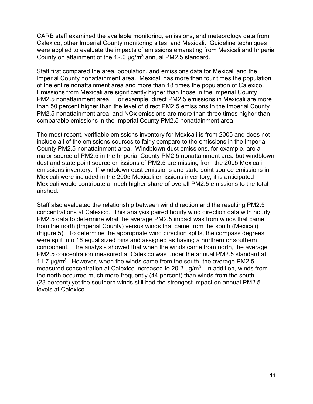CARB staff examined the available monitoring, emissions, and meteorology data from County on attainment of the 12.0  $\mu$ g/m $^3$  annual PM2.5 standard. Calexico, other Imperial County monitoring sites, and Mexicali. Guideline techniques were applied to evaluate the impacts of emissions emanating from Mexicali and Imperial

 Imperial County nonattainment area. Mexicali has more than four times the population PM2.5 nonattainment area. For example, direct PM2.5 emissions in Mexicali are more comparable emissions in the Imperial County PM2.5 nonattainment area. Staff first compared the area, population, and emissions data for Mexicali and the of the entire nonattainment area and more than 18 times the population of Calexico. Emissions from Mexicali are significantly higher than those in the Imperial County than 50 percent higher than the level of direct PM2.5 emissions in the Imperial County PM2.5 nonattainment area, and NOx emissions are more than three times higher than

 include all of the emissions sources to fairly compare to the emissions in the Imperial County PM2.5 nonattainment area. Windblown dust emissions, for example, are a The most recent, verifiable emissions inventory for Mexicali is from 2005 and does not major source of PM2.5 in the Imperial County PM2.5 nonattainment area but windblown dust and state point source emissions of PM2.5 are missing from the 2005 Mexicali emissions inventory. If windblown dust emissions and state point source emissions in Mexicali were included in the 2005 Mexicali emissions inventory, it is anticipated Mexicali would contribute a much higher share of overall PM2.5 emissions to the total airshed.

 from the north (Imperial County) versus winds that came from the south (Mexicali) component. The analysis showed that when the winds came from north, the average 11.7  $\mu$ g/m<sup>3</sup>. However, when the winds came from the south, the average PM2.5 measured concentration at Calexico increased to 20.2  $\mu$ g/m $^3$ . In addition, winds from the north occurred much more frequently (44 percent) than winds from the south (23 percent) yet the southern winds still had the strongest impact on annual PM2.5 Staff also evaluated the relationship between wind direction and the resulting PM2.5 concentrations at Calexico. This analysis paired hourly wind direction data with hourly PM2.5 data to determine what the average PM2.5 impact was from winds that came (Figure 5). To determine the appropriate wind direction splits, the compass degrees were split into 16 equal sized bins and assigned as having a northern or southern PM2.5 concentration measured at Calexico was under the annual PM2.5 standard at levels at Calexico.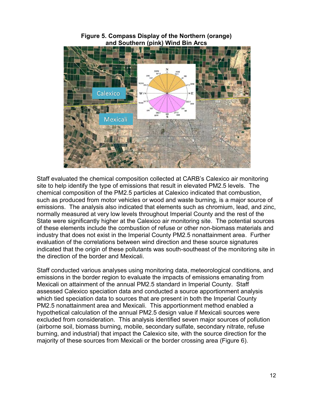

**Figure 5. Compass Display of the Northern (orange) and Southern (pink) Wind Bin Arcs** 

 normally measured at very low levels throughout Imperial County and the rest of the indicated that the origin of these pollutants was south-southeast of the monitoring site in the direction of the border and Mexicali. Staff evaluated the chemical composition collected at CARB's Calexico air monitoring site to help identify the type of emissions that result in elevated PM2.5 levels. The chemical composition of the PM2.5 particles at Calexico indicated that combustion, such as produced from motor vehicles or wood and waste burning, is a major source of emissions. The analysis also indicated that elements such as chromium, lead, and zinc, State were significantly higher at the Calexico air monitoring site. The potential sources of these elements include the combustion of refuse or other non-biomass materials and industry that does not exist in the Imperial County PM2.5 nonattainment area. Further evaluation of the correlations between wind direction and these source signatures

 assessed Calexico speciation data and conducted a source apportionment analysis PM2.5 nonattainment area and Mexicali. This apportionment method enabled a hypothetical calculation of the annual PM2.5 design value if Mexicali sources were burning, and industrial) that impact the Calexico site, with the source direction for the Staff conducted various analyses using monitoring data, meteorological conditions, and emissions in the border region to evaluate the impacts of emissions emanating from Mexicali on attainment of the annual PM2.5 standard in Imperial County. Staff which tied speciation data to sources that are present in both the Imperial County excluded from consideration. This analysis identified seven major sources of pollution (airborne soil, biomass burning, mobile, secondary sulfate, secondary nitrate, refuse majority of these sources from Mexicali or the border crossing area (Figure 6).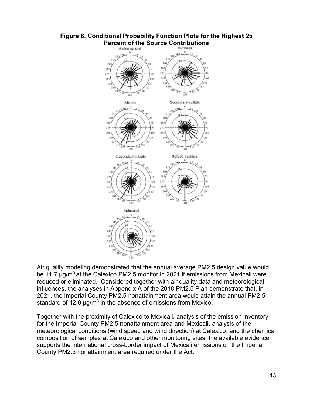

# **Figure 6. Conditional Probability Function Plots for the Highest 25**

standard of 12.0  $\mu$ g/m<sup>3</sup> in the absence of emissions from Mexico. Air quality modeling demonstrated that the annual average PM2.5 design value would be 11.7 μg/m<sup>3</sup> at the Calexico PM2.5 monitor in 2021 if emissions from Mexicali were reduced or eliminated. Considered together with air quality data and meteorological influences, the analyses in Appendix A of the 2018 PM2.5 Plan demonstrate that, in 2021, the Imperial County PM2.5 nonattainment area would attain the annual PM2.5

Together with the proximity of Calexico to Mexicali, analysis of the emission inventory for the Imperial County PM2.5 nonattainment area and Mexicali, analysis of the meteorological conditions (wind speed and wind direction) at Calexico, and the chemical composition of samples at Calexico and other monitoring sites, the available evidence supports the international cross-border impact of Mexicali emissions on the Imperial County PM2.5 nonattainment area required under the Act.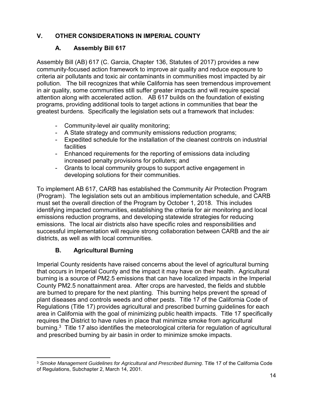## <span id="page-16-1"></span><span id="page-16-0"></span>**V. OTHER CONSIDERATIONS IN IMPERIAL COUNTY**

## **A. Assembly Bill 617**

 community-focused action framework to improve air quality and reduce exposure to attention along with accelerated action. AB 617 builds on the foundation of existing greatest burdens. Specifically the legislation sets out a framework that includes: Assembly Bill (AB) 617 (C. Garcia, Chapter 136, Statutes of 2017) provides a new criteria air pollutants and toxic air contaminants in communities most impacted by air pollution. The bill recognizes that while California has seen tremendous improvement in air quality, some communities still suffer greater impacts and will require special programs, providing additional tools to target actions in communities that bear the

- Community-level air quality monitoring;
- A State strategy and community emissions reduction programs;
- Expedited schedule for the installation of the cleanest controls on industrial facilities
- Enhanced requirements for the reporting of emissions data including increased penalty provisions for polluters; and
- Grants to local community groups to support active engagement in developing solutions for their communities.

 must set the overall direction of the Program by October 1, 2018. This includes successful implementation will require strong collaboration between CARB and the air To implement AB 617, CARB has established the Community Air Protection Program (Program). The legislation sets out an ambitious implementation schedule, and CARB identifying impacted communities, establishing the criteria for air monitoring and local emissions reduction programs, and developing statewide strategies for reducing emissions. The local air districts also have specific roles and responsibilities and districts, as well as with local communities.

## **B. Agricultural Burning**

<span id="page-16-2"></span> that occurs in Imperial County and the impact it may have on their health. Agricultural burning is a source of PM2.5 emissions that can have localized impacts in the Imperial County PM2.5 nonattainment area. After crops are harvested, the fields and stubble are burned to prepare for the next planting. This burning helps prevent the spread of plant diseases and controls weeds and other pests. [Title 17 of the California Code of](http://www.co.imperial.ca.us/AirPollution/Forms%20&%20Documents/AGRICULTURE/TITLE%2017%20CARB.pdf)  [Regulations](http://www.co.imperial.ca.us/AirPollution/Forms%20&%20Documents/AGRICULTURE/TITLE%2017%20CARB.pdf) (Title 17) provides agricultural and prescribed burning guidelines for each burning. $^3$  Title 17 also identifies the meteorological criteria for regulation of agricultural and prescribed burning by air basin in order to minimize smoke impacts. Imperial County residents have raised concerns about the level of agricultural burning area in California with the goal of minimizing public health impacts. Title 17 specifically requires the District to have rules in place that minimize smoke from agricultural

 $\overline{a}$ <sup>3</sup> Smoke Management Guidelines for Agricultural and Prescribed Burning. Title 17 of the California Code of Regulations, Subchapter 2, March 14, 2001.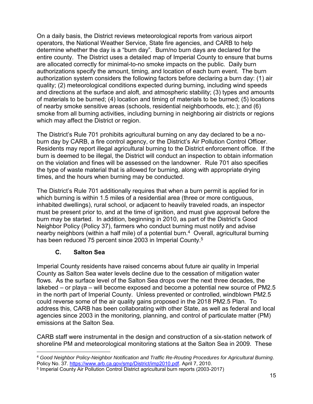operators, the National Weather Service, State fire agencies, and CARB to help determine whether the day is a "burn day". Burn/no burn days are declared for the entire county. The District uses a detailed map of Imperial County to ensure that burns authorizations specify the amount, timing, and location of each burn event. The burn On a daily basis, the District reviews meteorological reports from various airport are allocated correctly for minimal-to-no smoke impacts on the public. Daily burn authorization system considers the following factors before declaring a burn day: (1) air quality; (2) meteorological conditions expected during burning, including wind speeds and directions at the surface and aloft, and atmospheric stability; (3) types and amounts of materials to be burned; (4) location and timing of materials to be burned; (5) locations of nearby smoke sensitive areas (schools, residential neighborhoods, etc.); and (6) smoke from all burning activities, including burning in neighboring air districts or regions which may affect the District or region.

 Residents may report illegal agricultural burning to the District enforcement office. If the on the violation and fines will be assessed on the landowner. Rule 701 also specifies the type of waste material that is allowed for burning, along with appropriate drying times, and the hours when burning may be conducted. The District's Rule 701 prohibits agricultural burning on any day declared to be a noburn day by CARB, a fire control agency, or the District's Air Pollution Control Officer. burn is deemed to be illegal, the District will conduct an inspection to obtain information

 The District's Rule 701 additionally requires that when a burn permit is applied for in must be present prior to, and at the time of ignition, and must give approval before the burn may be started. In addition, beginning in 2010, as part of the District's Good nearby neighbors (within a half mile) of a potential burn. $^4\,$  Overall, agricultural burning which burning is within 1.5 miles of a residential area (three or more contiguous, inhabited dwellings), rural school, or adjacent to heavily traveled roads, an inspector Neighbor Policy (Policy 37), farmers who conduct burning must notify and advise has been reduced 75 percent since 2003 in Imperial County.<sup>5</sup>

### **C. Salton Sea**

<span id="page-17-0"></span> County as Salton Sea water levels decline due to the cessation of mitigation water flows. As the surface level of the Salton Sea drops over the next three decades, the lakebed – or playa – will become exposed and become a potential new source of PM2.5 could reverse some of the air quality gains proposed in the 2018 PM2.5 Plan. To agencies since 2003 in the monitoring, planning, and control of particulate matter (PM) Imperial County residents have raised concerns about future air quality in Imperial in the north part of Imperial County. Unless prevented or controlled, windblown PM2.5 address this, CARB has been collaborating with other State, as well as federal and local emissions at the Salton Sea.

 CARB staff were instrumental in the design and construction of a six-station network of shoreline PM and meteorological monitoring stations at the Salton Sea in 2009. These

 $\overline{a}$ <sup>4</sup>*Good Neighbor Policy-Neighbor Notification and Traffic Re-Routing Procedures for Agricultural Burning*. Policy No. 37. [https://www.arb.ca.gov/smp/District/imp2010.pdf.](https://www.arb.ca.gov/smp/district/imp2010.pdf) April 7, 2010.

<sup>&</sup>lt;sup>5</sup> Imperial County Air Pollution Control District agricultural burn reports (2003-2017)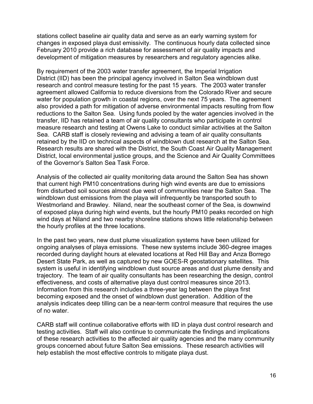stations collect baseline air quality data and serve as an early warning system for changes in exposed playa dust emissivity. The continuous hourly data collected since February 2010 provide a rich database for assessment of air quality impacts and development of mitigation measures by researchers and regulatory agencies alike.

 also provided a path for mitigation of adverse environmental impacts resulting from flow reductions to the Salton Sea. Using funds pooled by the water agencies involved in the transfer, IID has retained a team of air quality consultants who participate in control measure research and testing at Owens Lake to conduct similar activities at the Salton By requirement of the 2003 water transfer agreement, the Imperial Irrigation District (IID) has been the principal agency involved in Salton Sea windblown dust research and control measure testing for the past 15 years. The 2003 water transfer agreement allowed California to reduce diversions from the Colorado River and secure water for population growth in coastal regions, over the next 75 years. The agreement Sea. CARB staff is closely reviewing and advising a team of air quality consultants retained by the IID on technical aspects of windblown dust research at the Salton Sea. Research results are shared with the District, the South Coast Air Quality Management District, local environmental justice groups, and the Science and Air Quality Committees of the Governor's Salton Sea Task Force.

 of exposed playa during high wind events, but the hourly PM10 peaks recorded on high Analysis of the collected air quality monitoring data around the Salton Sea has shown that current high PM10 concentrations during high wind events are due to emissions from disturbed soil sources almost due west of communities near the Salton Sea. The windblown dust emissions from the playa will infrequently be transported south to Westmorland and Brawley. Niland, near the southeast corner of the Sea, is downwind wind days at Niland and two nearby shoreline stations shows little relationship between the hourly profiles at the three locations.

 ongoing analyses of playa emissions. These new systems include 360-degree images trajectory. The team of air quality consultants has been researching the design, control effectiveness, and costs of alternative playa dust control measures since 2013. becoming exposed and the onset of windblown dust generation. Addition of the analysis indicates deep tilling can be a near-term control measure that requires the use In the past two years, new dust plume visualization systems have been utilized for recorded during daylight hours at elevated locations at Red Hill Bay and Anza Borrego Desert State Park, as well as captured by new GOES-R geostationary satellites. This system is useful in identifying windblown dust source areas and dust plume density and Information from this research includes a three-year lag between the playa first of no water.

 testing activities. Staff will also continue to communicate the findings and implications of these research activities to the affected air quality agencies and the many community groups concerned about future Salton Sea emissions. These research activities will CARB staff will continue collaborative efforts with IID in playa dust control research and help establish the most effective controls to mitigate playa dust.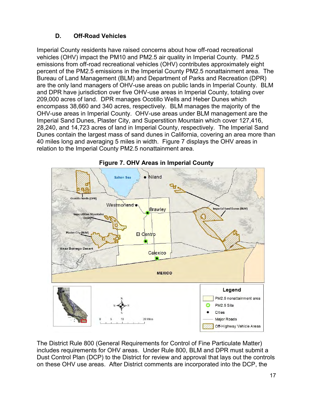## **D. Off-Road Vehicles**

<span id="page-19-0"></span> percent of the PM2.5 emissions in the Imperial County PM2.5 nonattainment area. The are the only land managers of OHV-use areas on public lands in Imperial County. BLM and DPR have jurisdiction over five OHV-use areas in Imperial County, totaling over encompass 38,660 and 340 acres, respectively. BLM manages the majority of the 40 miles long and averaging 5 miles in width. Figure 7 displays the OHV areas in Imperial County residents have raised concerns about how off-road recreational vehicles (OHV) impact the PM10 and PM2.5 air quality in Imperial County. PM2.5 emissions from off-road recreational vehicles (OHV) contributes approximately eight Bureau of Land Management (BLM) and Department of Parks and Recreation (DPR) 209,000 acres of land. DPR manages Ocotillo Wells and Heber Dunes which OHV-use areas in Imperial County. OHV-use areas under BLM management are the Imperial Sand Dunes, Plaster City, and Superstition Mountain which cover 127,416, 28,240, and 14,723 acres of land in Imperial County, respectively. The Imperial Sand Dunes contain the largest mass of sand dunes in California, covering an area more than relation to the Imperial County PM2.5 nonattainment area.





The District Rule 800 (General Requirements for Control of Fine Particulate Matter) includes requirements for OHV areas. Under Rule 800, BLM and DPR must submit a Dust Control Plan (DCP) to the District for review and approval that lays out the controls on these OHV use areas. After District comments are incorporated into the DCP, the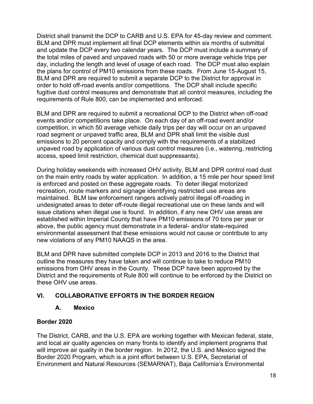District shall transmit the DCP to CARB and U.S. EPA for 45-day review and comment. BLM and DPR must implement all final DCP elements within six months of submittal and update the DCP every two calendar years. The DCP must include a summary of the total miles of paved and unpaved roads with 50 or more average vehicle trips per day, including the length and level of usage of each road. The DCP must also explain the plans for control of PM10 emissions from these roads. From June 15-August 15, BLM and DPR are required to submit a separate DCP to the District for approval in order to hold off-road events and/or competitions. The DCP shall include specific fugitive dust control measures and demonstrate that all control measures, including the requirements of Rule 800, can be implemented and enforced.

 BLM and DPR are required to submit a recreational DCP to the District when off-road events and/or competitions take place. On each day of an off-road event and/or competition, in which 50 average vehicle daily trips per day will occur on an unpaved road segment or unpaved traffic area, BLM and DPR shall limit the visible dust emissions to 20 percent opacity and comply with the requirements of a stabilized unpaved road by application of various dust control measures (i.e., watering, restricting access, speed limit restriction, chemical dust suppressants).

 on the main entry roads by water application. In addition, a 15 mile per hour speed limit maintained. BLM law enforcement rangers actively patrol illegal off-roading in established within Imperial County that have PM10 emissions of 70 tons per year or During holiday weekends with increased OHV activity, BLM and DPR control road dust is enforced and posted on these aggregate roads. To deter illegal motorized recreation, route markers and signage identifying restricted use areas are undesignated areas to deter off-route illegal recreational use on these lands and will issue citations when illegal use is found. In addition, if any new OHV use areas are above, the public agency must demonstrate in a federal- and/or state-required environmental assessment that these emissions would not cause or contribute to any new violations of any PM10 NAAQS in the area.

 BLM and DPR have submitted complete DCP in 2013 and 2016 to the District that outline the measures they have taken and will continue to take to reduce PM10 emissions from OHV areas in the County. These DCP have been approved by the District and the requirements of Rule 800 will continue to be enforced by the District on these OHV use areas.

### <span id="page-20-1"></span><span id="page-20-0"></span>**VI. COLLABORATIVE EFFORTS IN THE BORDER REGION**

#### **A. Mexico**

#### **Border 2020**

 and local air quality agencies on many fronts to identify and implement programs that The District, CARB, and the U.S. EPA are working together with Mexican federal, state, will improve air quality in the border region. In 2012, the U.S. and Mexico signed the Border 2020 Program, which is a joint effort between U.S. EPA, Secretariat of Environment and Natural Resources (SEMARNAT), Baja California's Environmental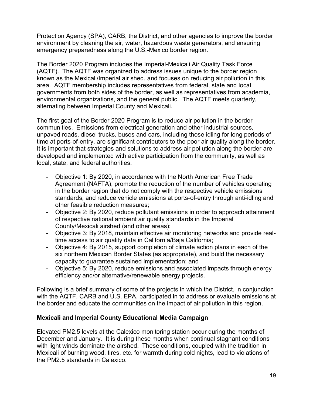Protection Agency (SPA), CARB, the District, and other agencies to improve the border environment by cleaning the air, water, hazardous waste generators, and ensuring emergency preparedness along the U.S.-Mexico border region.

The Border 2020 Program includes the Imperial-Mexicali Air Quality Task Force (AQTF). The AQTF was organized to address issues unique to the border region known as the Mexicali/Imperial air shed, and focuses on reducing air pollution in this area. AQTF membership includes representatives from federal, state and local governments from both sides of the border, as well as representatives from academia, environmental organizations, and the general public. The AQTF meets quarterly, alternating between Imperial County and Mexicali.

The first goal of the Border 2020 Program is to reduce air pollution in the border communities. Emissions from electrical generation and other industrial sources, unpaved roads, diesel trucks, buses and cars, including those idling for long periods of time at ports-of-entry, are significant contributors to the poor air quality along the border. It is important that strategies and solutions to address air pollution along the border are developed and implemented with active participation from the community, as well as local, state, and federal authorities.

- standards, and reduce vehicle emissions at ports-of-entry through anti-idling and - Objective 1: By 2020, in accordance with the North American Free Trade Agreement (NAFTA), promote the reduction of the number of vehicles operating in the border region that do not comply with the respective vehicle emissions other feasible reduction measures;
- Objective 2: By 2020, reduce pollutant emissions in order to approach attainment of respective national ambient air quality standards in the Imperial County/Mexicali airshed (and other areas);
- Objective 3: By 2018, maintain effective air monitoring networks and provide realtime access to air quality data in California/Baja California;
- - Objective 4: By 2015, support completion of climate action plans in each of the six northern Mexican Border States (as appropriate), and build the necessary capacity to guarantee sustained implementation; and
- Objective 5: By 2020, reduce emissions and associated impacts through energy efficiency and/or alternative/renewable energy projects.

 Following is a brief summary of some of the projects in which the District, in conjunction with the AQTF, CARB and U.S. EPA, participated in to address or evaluate emissions at the border and educate the communities on the impact of air pollution in this region.

#### **Mexicali and Imperial County Educational Media Campaign**

Elevated PM2.5 levels at the Calexico monitoring station occur during the months of December and January. It is during these months when continual stagnant conditions with light winds dominate the airshed. These conditions, coupled with the tradition in Mexicali of burning wood, tires, etc. for warmth during cold nights, lead to violations of the PM2.5 standards in Calexico.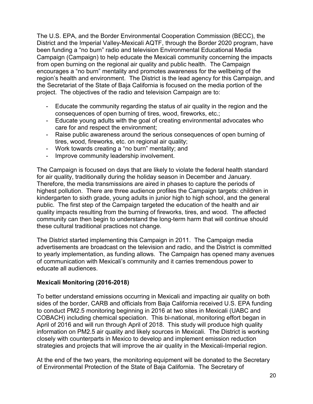the Secretariat of the State of Baja California is focused on the media portion of the The U.S. EPA, and the Border Environmental Cooperation Commission (BECC), the District and the Imperial Valley-Mexicali AQTF, through the Border 2020 program, have been funding a "no burn" radio and television Environmental Educational Media Campaign (Campaign) to help educate the Mexicali community concerning the impacts from open burning on the regional air quality and public health. The Campaign encourages a "no burn" mentality and promotes awareness for the wellbeing of the region's health and environment. The District is the lead agency for this Campaign, and project. The objectives of the radio and television Campaign are to:

- - Educate the community regarding the status of air quality in the region and the consequences of open burning of tires, wood, fireworks, etc.;
- Educate young adults with the goal of creating environmental advocates who care for and respect the environment;
- - Raise public awareness around the serious consequences of open burning of tires, wood, fireworks, etc. on regional air quality;
- Work towards creating a "no burn" mentality; and
- Improve community leadership involvement.

 public. The first step of the Campaign targeted the education of the health and air quality impacts resulting from the burning of fireworks, tires, and wood. The affected The Campaign is focused on days that are likely to violate the federal health standard for air quality, traditionally during the holiday season in December and January. Therefore, the media transmissions are aired in phases to capture the periods of highest pollution. There are three audience profiles the Campaign targets: children in kindergarten to sixth grade, young adults in junior high to high school, and the general community can then begin to understand the long-term harm that will continue should these cultural traditional practices not change.

The District started implementing this Campaign in 2011. The Campaign media advertisements are broadcast on the television and radio, and the District is committed to yearly implementation, as funding allows. The Campaign has opened many avenues of communication with Mexicali's community and it carries tremendous power to educate all audiences.

#### **Mexicali Monitoring (2016-2018)**

 sides of the border, CARB and officials from Baja California received U.S. EPA funding to conduct PM2.5 monitoring beginning in 2016 at two sites in Mexicali (UABC and information on PM2.5 air quality and likely sources in Mexicali. The District is working strategies and projects that will improve the air quality in the Mexicali-Imperial region. To better understand emissions occurring in Mexicali and impacting air quality on both COBACH) including chemical speciation. This bi-national, monitoring effort began in April of 2016 and will run through April of 2018. This study will produce high quality closely with counterparts in Mexico to develop and implement emission reduction

At the end of the two years, the monitoring equipment will be donated to the Secretary of Environmental Protection of the State of Baja California. The Secretary of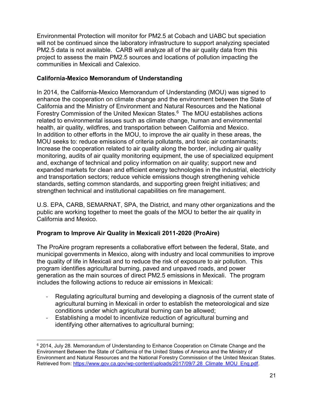Environmental Protection will monitor for PM2.5 at Cobach and UABC but speciation will not be continued since the laboratory infrastructure to support analyzing speciated PM2.5 data is not available. CARB will analyze all of the air quality data from this project to assess the main PM2.5 sources and locations of pollution impacting the communities in Mexicali and Calexico.

#### **California-Mexico Memorandum of Understanding**

 enhance the cooperation on climate change and the environment between the State of Forestry Commission of the United Mexican States.6 The MOU establishes actions related to environmental issues such as climate change, human and environmental Increase the cooperation related to air quality along the border, including air quality and, exchange of technical and policy information on air quality; support new and expanded markets for clean and efficient energy technologies in the industrial, electricity strengthen technical and institutional capabilities on fire management. In 2014, the California-Mexico Memorandum of Understanding (MOU) was signed to California and the Ministry of Environment and Natural Resources and the National health, air quality, wildfires, and transportation between California and Mexico. In addition to other efforts in the MOU, to improve the air quality in these areas, the MOU seeks to: reduce emissions of criteria pollutants, and toxic air contaminants; monitoring, audits of air quality monitoring equipment, the use of specialized equipment and transportation sectors; reduce vehicle emissions though strengthening vehicle standards, setting common standards, and supporting green freight initiatives; and

U.S. EPA, CARB, SEMARNAT, SPA, the District, and many other organizations and the public are working together to meet the goals of the MOU to better the air quality in California and Mexico.

### **Program to Improve Air Quality in Mexicali 2011-2020 (ProAire)**

 includes the following actions to reduce air emissions in Mexicali: The ProAire program represents a collaborative effort between the federal, State, and municipal governments in Mexico, along with industry and local communities to improve the quality of life in Mexicali and to reduce the risk of exposure to air pollution. This program identifies agricultural burning, paved and unpaved roads, and power generation as the main sources of direct PM2.5 emissions in Mexicali. The program

- Regulating agricultural burning and developing a diagnosis of the current state of agricultural burning in Mexicali in order to establish the meteorological and size conditions under which agricultural burning can be allowed;
- Establishing a model to incentivize reduction of agricultural burning and identifying other alternatives to agricultural burning;

 $\overline{a}$  Environment Between the State of California of the United States of America and the Ministry of 6 2014, July 28. Memorandum of Understanding to Enhance Cooperation on Climate Change and the Environment and Natural Resources and the National Forestry Commission of the United Mexican States. Retrieved from: https://www.gov.ca.gov/wp-content/uploads/2017/09/7.28 Climate MOU Eng.pdf.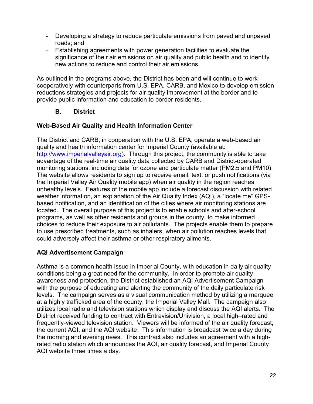- - Developing a strategy to reduce particulate emissions from paved and unpaved roads; and
- - Establishing agreements with power generation facilities to evaluate the significance of their air emissions on air quality and public health and to identify new actions to reduce and control their air emissions.

 cooperatively with counterparts from U.S. EPA, CARB, and Mexico to develop emission reductions strategies and projects for air quality improvement at the border and to provide public information and education to border residents. As outlined in the programs above, the District has been and will continue to work

#### **B. District**

#### <span id="page-24-0"></span>**Web-Based Air Quality and Health Information Center**

[http://www.imperialvalleyair.org\)](http://www.imperialvalleyair.org/). Through this project, the community is able to take unhealthy levels. Features of the mobile app include a forecast discussion with related weather information, an explanation of the Air Quality Index (AQI), a "locate me" GPS- choices to reduce their exposure to air pollutants. The projects enable them to prepare The District and CARB, in cooperation with the U.S. EPA, operate a web-based air quality and health information center for Imperial County (available at: advantage of the real-time air quality data collected by CARB and District-operated monitoring stations, including data for ozone and particulate matter (PM2.5 and PM10). The website allows residents to sign up to receive email, text, or push notifications (via the Imperial Valley Air Quality mobile app) when air quality in the region reaches based notification, and an identification of the cities where air monitoring stations are located. The overall purpose of this project is to enable schools and after-school programs, as well as other residents and groups in the county, to make informed to use prescribed treatments, such as inhalers, when air pollution reaches levels that could adversely affect their asthma or other respiratory ailments.

### **AQI Advertisement Campaign**

 awareness and protection, the District established an AQI Advertisement Campaign with the purpose of educating and alerting the community of the daily particulate risk the morning and evening news. This contract also includes an agreement with a high-Asthma is a common health issue in Imperial County, with education in daily air quality conditions being a great need for the community. In order to promote air quality levels. The campaign serves as a visual communication method by utilizing a marquee at a highly trafficked area of the county, the Imperial Valley Mall. The campaign also utilizes local radio and television stations which display and discuss the AQI alerts. The District received funding to contract with Entravision/Univision, a local high–rated and frequently-viewed television station. Viewers will be informed of the air quality forecast, the current AQI, and the AQI website. This information is broadcast twice a day during rated radio station which announces the AQI, air quality forecast, and Imperial County AQI website three times a day.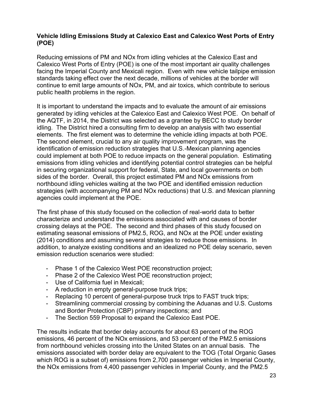#### **Vehicle Idling Emissions Study at Calexico East and Calexico West Ports of Entry (POE)**

 continue to emit large amounts of NOx, PM, and air toxics, which contribute to serious Reducing emissions of PM and NOx from idling vehicles at the Calexico East and Calexico West Ports of Entry (POE) is one of the most important air quality challenges facing the Imperial County and Mexicali region. Even with new vehicle tailpipe emission standards taking effect over the next decade, millions of vehicles at the border will public health problems in the region.

 generated by idling vehicles at the Calexico East and Calexico West POE. On behalf of the AQTF, in 2014, the District was selected as a grantee by BECC to study border idling. The District hired a consulting firm to develop an analysis with two essential in securing organizational support for federal, State, and local governments on both sides of the border. Overall, this project estimated PM and NOx emissions from It is important to understand the impacts and to evaluate the amount of air emissions elements. The first element was to determine the vehicle idling impacts at both POE. The second element, crucial to any air quality improvement program, was the identification of emission reduction strategies that U.S.-Mexican planning agencies could implement at both POE to reduce impacts on the general population. Estimating emissions from idling vehicles and identifying potential control strategies can be helpful northbound idling vehicles waiting at the two POE and identified emission reduction strategies (with accompanying PM and NOx reductions) that U.S. and Mexican planning agencies could implement at the POE.

 The first phase of this study focused on the collection of real-world data to better (2014) conditions and assuming several strategies to reduce those emissions. In characterize and understand the emissions associated with and causes of border crossing delays at the POE. The second and third phases of this study focused on estimating seasonal emissions of PM2.5, ROG, and NOx at the POE under existing addition, to analyze existing conditions and an idealized no POE delay scenario, seven emission reduction scenarios were studied:

- Phase 1 of the Calexico West POE reconstruction project;
- Phase 2 of the Calexico West POE reconstruction project;
- Use of California fuel in Mexicali;
- A reduction in empty general-purpose truck trips;
- Replacing 10 percent of general-purpose truck trips to FAST truck trips;
- Streamlining commercial crossing by combining the Aduanas and U.S. Customs and Border Protection (CBP) primary inspections; and
- The Section 559 Proposal to expand the Calexico East POE.

 emissions, 46 percent of the NOx emissions, and 53 percent of the PM2.5 emissions emissions associated with border delay are equivalent to the TOG (Total Organic Gases The results indicate that border delay accounts for about 63 percent of the ROG from northbound vehicles crossing into the United States on an annual basis. The which ROG is a subset of) emissions from 2,700 passenger vehicles in Imperial County, the NOx emissions from 4,400 passenger vehicles in Imperial County, and the PM2.5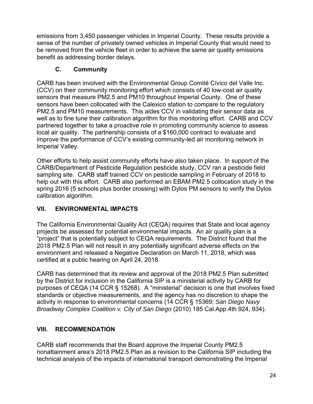emissions from 3,450 passenger vehicles in Imperial County. These results provide a be removed from the vehicle fleet in order to achieve the same air quality emissions sense of the number of privately owned vehicles in Imperial County that would need to benefit as addressing border delays.

## **C. Community**

<span id="page-26-0"></span> sensors that measure PM2.5 and PM10 throughout Imperial County*.* One of these well as to fine tune their calibration algorithm for this monitoring effort. CARB and CCV CARB has been involved with the Environmental Group Comité Cívico del Valle Inc. (CCV) on their community monitoring effort which consists of 40 low-cost air quality sensors have been collocated with the Calexico station to compare to the regulatory PM2.5 and PM10 measurements. This aides CCV in validating their sensor data as partnered together to take a proactive role in promoting community science to assess local air quality. The partnership consists of a \$160,000 contract to evaluate and improve the performance of CCV's existing community-led air monitoring network in Imperial Valley.

 Other efforts to help assist community efforts have also taken place. In support of the CARB/Department of Pesticide Regulation pesticide study, CCV ran a pesticide field sampling site. CARB staff trained CCV on pesticide sampling in February of 2018 to help out with this effort. CARB also performed an EBAM PM2.5 collocation study in the spring 2016 (5 schools plus border crossing) with Dylos PM sensors to verify the Dylos calibration algorithm.

## <span id="page-26-1"></span>**VII. ENVIRONMENTAL IMPACTS**

 "project" that is potentially subject to CEQA requirements. The District found that the The California Environmental Quality Act (CEQA) requires that State and local agency projects be assessed for potential environmental impacts. An air quality plan is a 2018 PM2.5 Plan will not result in any potentially significant adverse effects on the environment and released a Negative Declaration on March 11, 2018, which was certified at a public hearing on April 24, 2018.

 standards or objective measurements, and the agency has no discretion to shape the CARB has determined that its review and approval of the 2018 PM2.5 Plan submitted by the District for inclusion in the California SIP is a ministerial activity by CARB for purposes of CEQA (14 CCR § 15268). A "ministerial" decision is one that involves fixed activity in response to environmental concerns (14 CCR § 15369; *San Diego Navy Broadway Complex Coalition v. City of San Diego* (2010) 185 Cal.App.4th 924, 934).

## <span id="page-26-2"></span>**VIII. RECOMMENDATION**

CARB staff recommends that the Board approve the Imperial County PM2.5 nonattainment area's 2018 PM2.5 Plan as a revision to the California SIP including the technical analysis of the impacts of international transport demonstrating the Imperial